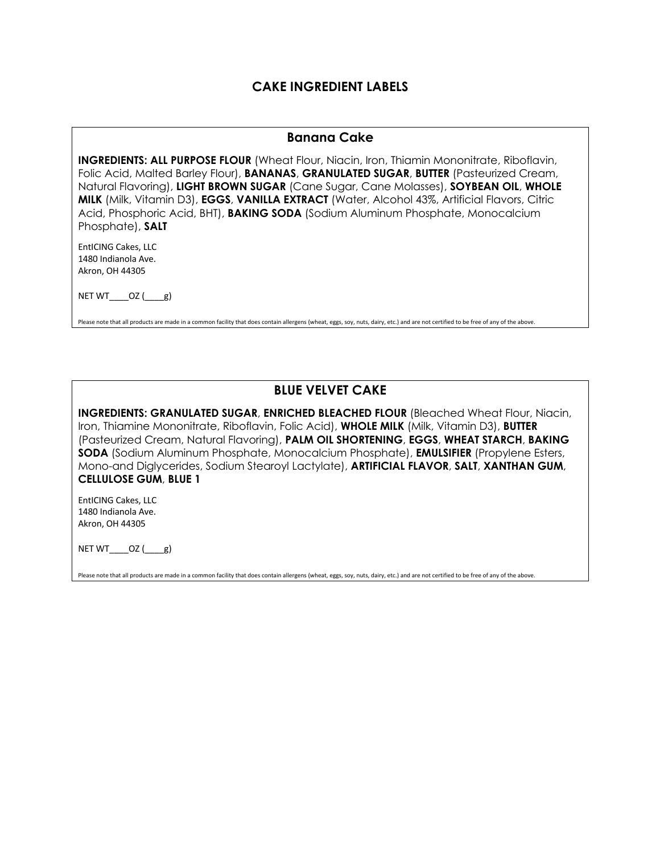### **CAKE INGREDIENT LABELS**

#### **Banana Cake**

**INGREDIENTS: ALL PURPOSE FLOUR** (Wheat Flour, Niacin, Iron, Thiamin Mononitrate, Riboflavin, Folic Acid, Malted Barley Flour), **BANANAS**, **GRANULATED SUGAR**, **BUTTER** (Pasteurized Cream, Natural Flavoring), **LIGHT BROWN SUGAR** (Cane Sugar, Cane Molasses), **SOYBEAN OIL**, **WHOLE MILK** (Milk, Vitamin D3), **EGGS**, **VANILLA EXTRACT** (Water, Alcohol 43%, Artificial Flavors, Citric Acid, Phosphoric Acid, BHT), **BAKING SODA** (Sodium Aluminum Phosphate, Monocalcium Phosphate), **SALT**

EntICING Cakes, LLC 1480 Indianola Ave. Akron, OH 44305

 $NET WT$   $OZ$  ( $g$ )

Please note that all products are made in a common facility that does contain allergens (wheat, eggs, soy, nuts, dairy, etc.) and are not certified to be free of any of the above.

### **BLUE VELVET CAKE**

**INGREDIENTS: GRANULATED SUGAR**, **ENRICHED BLEACHED FLOUR** (Bleached Wheat Flour, Niacin, Iron, Thiamine Mononitrate, Riboflavin, Folic Acid), **WHOLE MILK** (Milk, Vitamin D3), **BUTTER**  (Pasteurized Cream, Natural Flavoring), **PALM OIL SHORTENING**, **EGGS**, **WHEAT STARCH**, **BAKING SODA** (Sodium Aluminum Phosphate, Monocalcium Phosphate), **EMULSIFIER** (Propylene Esters, Mono-and Diglycerides, Sodium Stearoyl Lactylate), **ARTIFICIAL FLAVOR**, **SALT**, **XANTHAN GUM**, **CELLULOSE GUM**, **BLUE 1**

EntICING Cakes, LLC 1480 Indianola Ave. Akron, OH 44305

NET WT $OZ$  (  $g$ )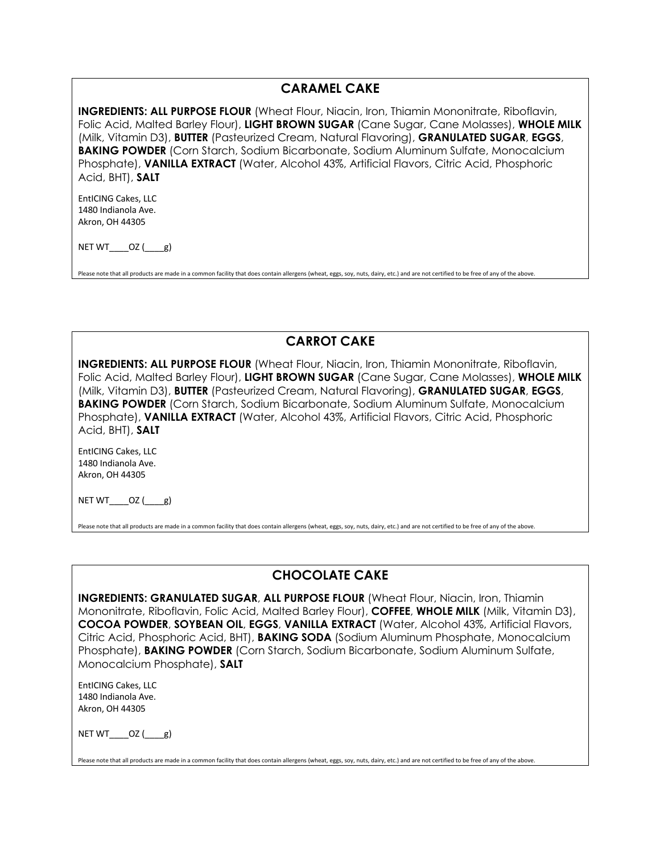#### **CARAMEL CAKE**

**INGREDIENTS: ALL PURPOSE FLOUR** (Wheat Flour, Niacin, Iron, Thiamin Mononitrate, Riboflavin, Folic Acid, Malted Barley Flour), **LIGHT BROWN SUGAR** (Cane Sugar, Cane Molasses), **WHOLE MILK**  (Milk, Vitamin D3), **BUTTER** (Pasteurized Cream, Natural Flavoring), **GRANULATED SUGAR**, **EGGS**, **BAKING POWDER** (Corn Starch, Sodium Bicarbonate, Sodium Aluminum Sulfate, Monocalcium Phosphate), **VANILLA EXTRACT** (Water, Alcohol 43%, Artificial Flavors, Citric Acid, Phosphoric Acid, BHT), **SALT**

EntICING Cakes, LLC 1480 Indianola Ave. Akron, OH 44305

NET WT $OZ$  ( $g$ )

Please note that all products are made in a common facility that does contain allergens (wheat, eggs, soy, nuts, dairy, etc.) and are not certified to be free of any of the above

# **CARROT CAKE**

**INGREDIENTS: ALL PURPOSE FLOUR** (Wheat Flour, Niacin, Iron, Thiamin Mononitrate, Riboflavin, Folic Acid, Malted Barley Flour), **LIGHT BROWN SUGAR** (Cane Sugar, Cane Molasses), **WHOLE MILK**  (Milk, Vitamin D3), **BUTTER** (Pasteurized Cream, Natural Flavoring), **GRANULATED SUGAR**, **EGGS**, **BAKING POWDER** (Corn Starch, Sodium Bicarbonate, Sodium Aluminum Sulfate, Monocalcium Phosphate), **VANILLA EXTRACT** (Water, Alcohol 43%, Artificial Flavors, Citric Acid, Phosphoric Acid, BHT), **SALT**

EntICING Cakes, LLC 1480 Indianola Ave. Akron, OH 44305

NET WT $OZ$  ( $g$ )

Please note that all products are made in a common facility that does contain allergens (wheat, eggs, soy, nuts, dairy, etc.) and are not certified to be free of any of the above.

# **CHOCOLATE CAKE**

**INGREDIENTS: GRANULATED SUGAR**, **ALL PURPOSE FLOUR** (Wheat Flour, Niacin, Iron, Thiamin Mononitrate, Riboflavin, Folic Acid, Malted Barley Flour), **COFFEE**, **WHOLE MILK** (Milk, Vitamin D3), **COCOA POWDER**, **SOYBEAN OIL**, **EGGS**, **VANILLA EXTRACT** (Water, Alcohol 43%, Artificial Flavors, Citric Acid, Phosphoric Acid, BHT), **BAKING SODA** (Sodium Aluminum Phosphate, Monocalcium Phosphate), **BAKING POWDER** (Corn Starch, Sodium Bicarbonate, Sodium Aluminum Sulfate, Monocalcium Phosphate), **SALT**

EntICING Cakes, LLC 1480 Indianola Ave. Akron, OH 44305

NET WT $OZ$  ( $g$ )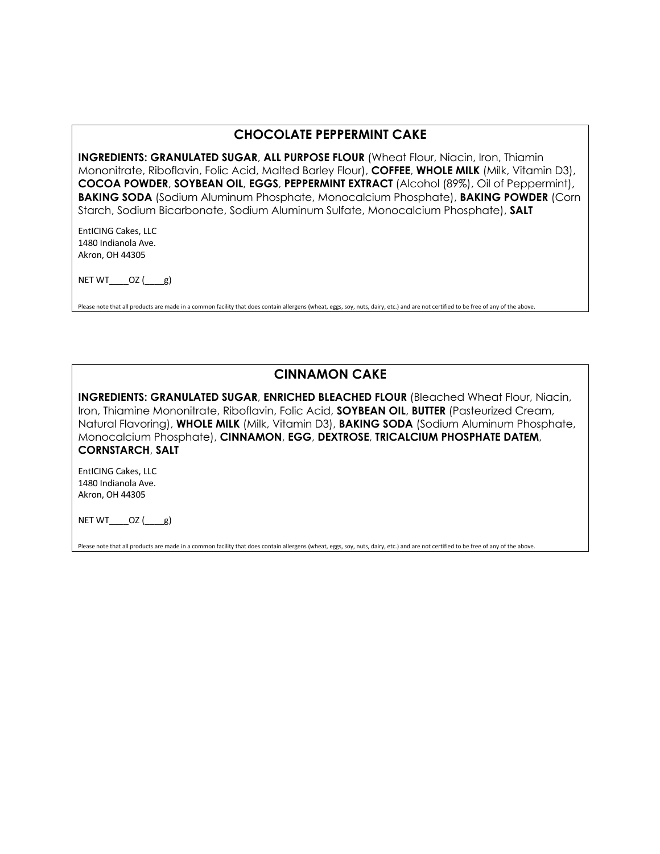#### **CHOCOLATE PEPPERMINT CAKE**

**INGREDIENTS: GRANULATED SUGAR, ALL PURPOSE FLOUR (Wheat Flour, Niacin, Iron, Thiamin** Mononitrate, Riboflavin, Folic Acid, Malted Barley Flour), **COFFEE**, **WHOLE MILK** (Milk, Vitamin D3), **COCOA POWDER**, **SOYBEAN OIL**, **EGGS**, **PEPPERMINT EXTRACT** (Alcohol (89%), Oil of Peppermint), **BAKING SODA** (Sodium Aluminum Phosphate, Monocalcium Phosphate), **BAKING POWDER** (Corn Starch, Sodium Bicarbonate, Sodium Aluminum Sulfate, Monocalcium Phosphate), **SALT**

EntICING Cakes, LLC 1480 Indianola Ave. Akron, OH 44305

NET WT $OZ$  ( $g$ )

Please note that all products are made in a common facility that does contain allergens (wheat, eggs, soy, nuts, dairy, etc.) and are not certified to be free of any of the above.

# **CINNAMON CAKE**

**INGREDIENTS: GRANULATED SUGAR**, **ENRICHED BLEACHED FLOUR** (Bleached Wheat Flour, Niacin, Iron, Thiamine Mononitrate, Riboflavin, Folic Acid, **SOYBEAN OIL**, **BUTTER** (Pasteurized Cream, Natural Flavoring), **WHOLE MILK** (Milk, Vitamin D3), **BAKING SODA** (Sodium Aluminum Phosphate, Monocalcium Phosphate), **CINNAMON**, **EGG**, **DEXTROSE**, **TRICALCIUM PHOSPHATE DATEM**, **CORNSTARCH**, **SALT**

EntICING Cakes, LLC 1480 Indianola Ave. Akron, OH 44305

NET  $WT$   $OZ$  ( $g$ )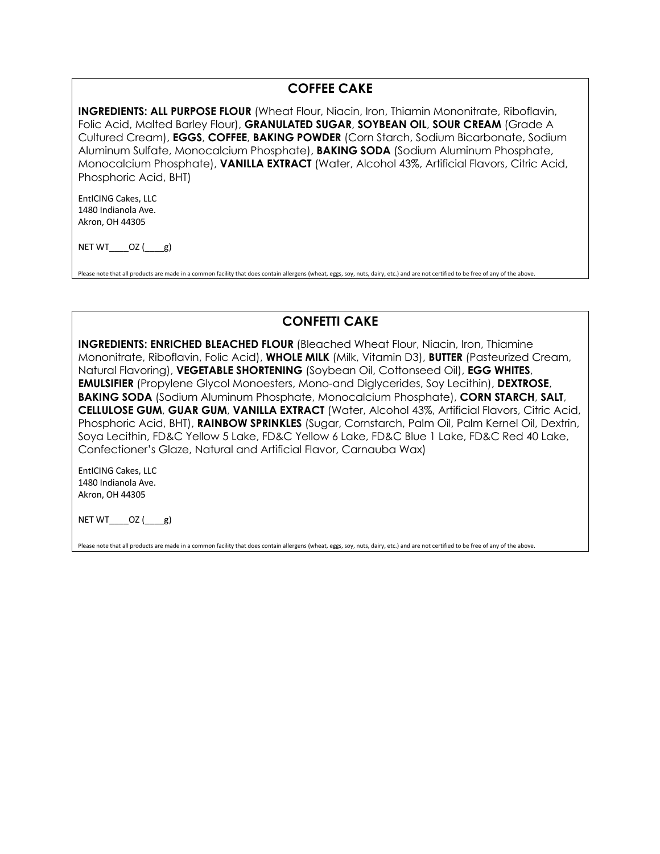### **COFFEE CAKE**

**INGREDIENTS: ALL PURPOSE FLOUR** (Wheat Flour, Niacin, Iron, Thiamin Mononitrate, Riboflavin, Folic Acid, Malted Barley Flour), **GRANULATED SUGAR**, **SOYBEAN OIL**, **SOUR CREAM** (Grade A Cultured Cream), **EGGS**, **COFFEE**, **BAKING POWDER** (Corn Starch, Sodium Bicarbonate, Sodium Aluminum Sulfate, Monocalcium Phosphate), **BAKING SODA** (Sodium Aluminum Phosphate, Monocalcium Phosphate), **VANILLA EXTRACT** (Water, Alcohol 43%, Artificial Flavors, Citric Acid, Phosphoric Acid, BHT)

EntICING Cakes, LLC 1480 Indianola Ave. Akron, OH 44305

NET WT $OZ$  ( $g$ )

Please note that all products are made in a common facility that does contain allergens (wheat, eggs, soy, nuts, dairy, etc.) and are not certified to be free of any of the above

### **CONFETTI CAKE**

**INGREDIENTS: ENRICHED BLEACHED FLOUR** (Bleached Wheat Flour, Niacin, Iron, Thiamine Mononitrate, Riboflavin, Folic Acid), **WHOLE MILK** (Milk, Vitamin D3), **BUTTER** (Pasteurized Cream, Natural Flavoring), **VEGETABLE SHORTENING** (Soybean Oil, Cottonseed Oil), **EGG WHITES**, **EMULSIFIER** (Propylene Glycol Monoesters, Mono-and Diglycerides, Soy Lecithin), **DEXTROSE**, **BAKING SODA** (Sodium Aluminum Phosphate, Monocalcium Phosphate), **CORN STARCH**, **SALT**, **CELLULOSE GUM**, **GUAR GUM**, **VANILLA EXTRACT** (Water, Alcohol 43%, Artificial Flavors, Citric Acid, Phosphoric Acid, BHT), **RAINBOW SPRINKLES** (Sugar, Cornstarch, Palm Oil, Palm Kernel Oil, Dextrin, Soya Lecithin, FD&C Yellow 5 Lake, FD&C Yellow 6 Lake, FD&C Blue 1 Lake, FD&C Red 40 Lake, Confectioner's Glaze, Natural and Artificial Flavor, Carnauba Wax)

EntICING Cakes, LLC 1480 Indianola Ave. Akron, OH 44305

NET WT $OZ$  ( $g$ )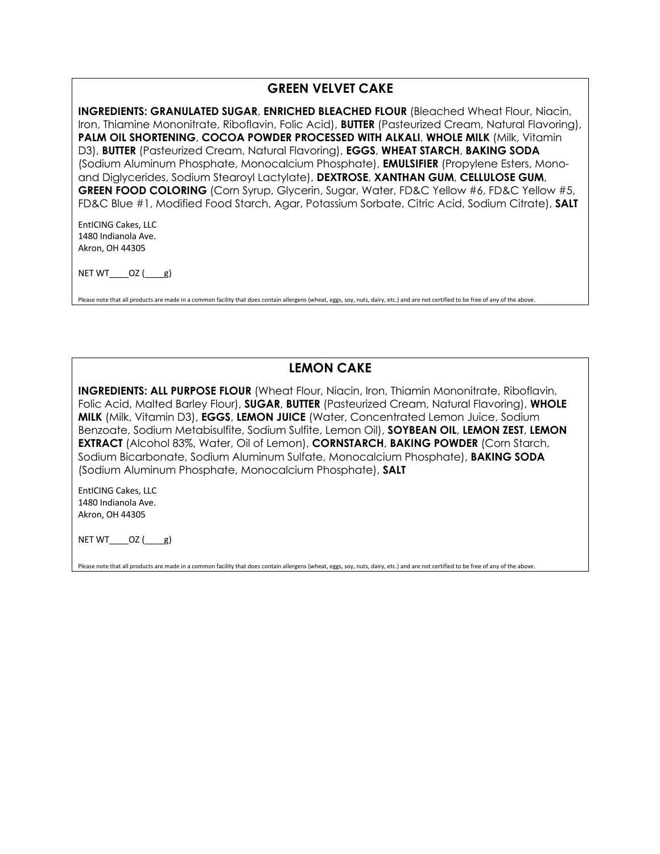#### **GREEN VELVET CAKE**

**INGREDIENTS: GRANULATED SUGAR**, **ENRICHED BLEACHED FLOUR** (Bleached Wheat Flour, Niacin, Iron, Thiamine Mononitrate, Riboflavin, Folic Acid), **BUTTER** (Pasteurized Cream, Natural Flavoring), **PALM OIL SHORTENING**, **COCOA POWDER PROCESSED WITH ALKALI**, **WHOLE MILK** (Milk, Vitamin D3), **BUTTER** (Pasteurized Cream, Natural Flavoring), **EGGS**, **WHEAT STARCH**, **BAKING SODA** (Sodium Aluminum Phosphate, Monocalcium Phosphate), **EMULSIFIER** (Propylene Esters, Monoand Diglycerides, Sodium Stearoyl Lactylate), **DEXTROSE**, **XANTHAN GUM**, **CELLULOSE GUM**, **GREEN FOOD COLORING** (Corn Syrup, Glycerin, Sugar, Water, FD&C Yellow #6, FD&C Yellow #5, FD&C Blue #1, Modified Food Starch, Agar, Potassium Sorbate, Citric Acid, Sodium Citrate), **SALT**

EntICING Cakes, LLC 1480 Indianola Ave. Akron, OH 44305

NET  $WT$   $OZ$  ( $g$ )

Please note that all products are made in a common facility that does contain allergens (wheat, eggs, soy, nuts, dairy, etc.) and are not certified to be free of any of the above.

# **LEMON CAKE**

**INGREDIENTS: ALL PURPOSE FLOUR** (Wheat Flour, Niacin, Iron, Thiamin Mononitrate, Riboflavin, Folic Acid, Malted Barley Flour), **SUGAR**, **BUTTER** (Pasteurized Cream, Natural Flavoring), **WHOLE MILK** (Milk, Vitamin D3), **EGGS**, **LEMON JUICE** (Water, Concentrated Lemon Juice, Sodium Benzoate, Sodium Metabisulfite, Sodium Sulfite, Lemon Oil), **SOYBEAN OIL**, **LEMON ZEST**, **LEMON EXTRACT** (Alcohol 83%, Water, Oil of Lemon), **CORNSTARCH**, **BAKING POWDER** (Corn Starch, Sodium Bicarbonate, Sodium Aluminum Sulfate, Monocalcium Phosphate), **BAKING SODA** (Sodium Aluminum Phosphate, Monocalcium Phosphate), **SALT**

EntICING Cakes, LLC 1480 Indianola Ave. Akron, OH 44305

NET WT $OZ$  ( $g$ )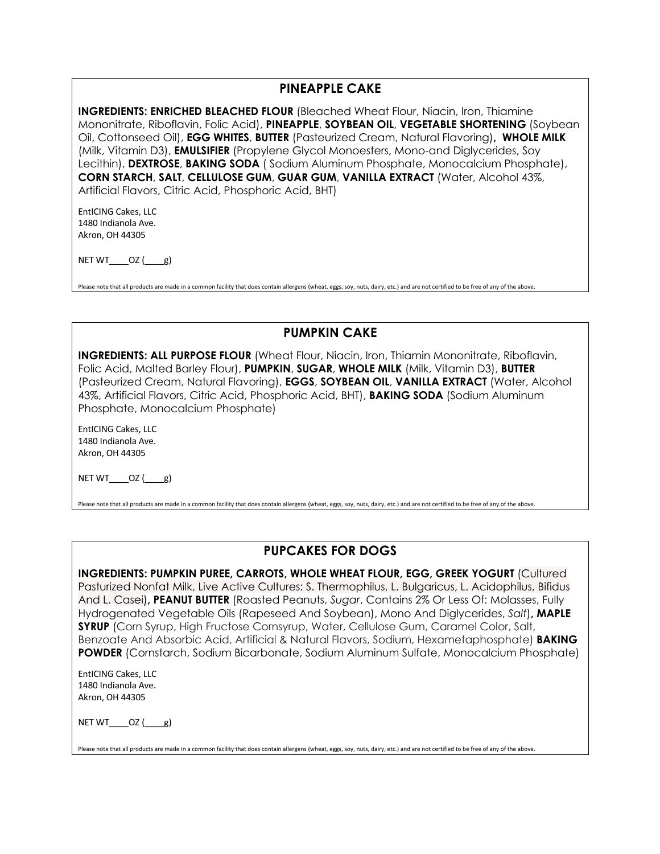### **PINEAPPLE CAKE**

**INGREDIENTS: ENRICHED BLEACHED FLOUR** (Bleached Wheat Flour, Niacin, Iron, Thiamine Mononitrate, Riboflavin, Folic Acid), **PINEAPPLE**, **SOYBEAN OIL**, **VEGETABLE SHORTENING** (Soybean Oil, Cottonseed Oil), **EGG WHITES**, **BUTTER** (Pasteurized Cream, Natural Flavoring)**, WHOLE MILK**  (Milk, Vitamin D3), **EMULSIFIER** (Propylene Glycol Monoesters, Mono-and Diglycerides, Soy Lecithin), **DEXTROSE**, **BAKING SODA** ( Sodium Aluminum Phosphate, Monocalcium Phosphate), **CORN STARCH**, **SALT**, **CELLULOSE GUM**, **GUAR GUM**, **VANILLA EXTRACT** (Water, Alcohol 43%, Artificial Flavors, Citric Acid, Phosphoric Acid, BHT)

EntICING Cakes, LLC 1480 Indianola Ave. Akron, OH 44305

 $NETWT$ \_\_\_\_OZ $(\underline{\qquad}g)$ 

Please note that all products are made in a common facility that does contain allergens (wheat, eggs, soy, nuts, dairy, etc.) and are not certified to be free of any of the above.

#### **PUMPKIN CAKE**

**INGREDIENTS: ALL PURPOSE FLOUR** (Wheat Flour, Niacin, Iron, Thiamin Mononitrate, Riboflavin, Folic Acid, Malted Barley Flour), **PUMPKIN**, **SUGAR**, **WHOLE MILK** (Milk, Vitamin D3), **BUTTER** (Pasteurized Cream, Natural Flavoring), **EGGS**, **SOYBEAN OIL**, **VANILLA EXTRACT** (Water, Alcohol 43%, Artificial Flavors, Citric Acid, Phosphoric Acid, BHT), **BAKING SODA** (Sodium Aluminum Phosphate, Monocalcium Phosphate)

EntICING Cakes, LLC 1480 Indianola Ave. Akron, OH 44305

NET WT $OZ$  (  $g$ )

Please note that all products are made in a common facility that does contain allergens (wheat, eggs, soy, nuts, dairy, etc.) and are not certified to be free of any of the above.

# **PUPCAKES FOR DOGS**

**INGREDIENTS: PUMPKIN PUREE, CARROTS, WHOLE WHEAT FLOUR, EGG, GREEK YOGURT** (Cultured Pasturized Nonfat Milk, Live Active Cultures: S. Thermophilus, L. Bulgaricus, L. Acidophilus, Bifidus And L. Casei)**, PEANUT BUTTER** (Roasted Peanuts, *Sugar*, Contains 2% Or Less Of: Molasses, Fully Hydrogenated Vegetable Oils (Rapeseed And Soybean), Mono And Diglycerides, *Salt*)**, MAPLE SYRUP** (Corn Syrup, High Fructose Cornsyrup, Water, Cellulose Gum, Caramel Color, Salt, Benzoate And Absorbic Acid, Artificial & Natural Flavors, Sodium, Hexametaphosphate) **BAKING POWDER** (Cornstarch, Sodium Bicarbonate, Sodium Aluminum Sulfate, Monocalcium Phosphate)

EntICING Cakes, LLC 1480 Indianola Ave. Akron, OH 44305

 $NET WT$   $OZ$  ( $g$ )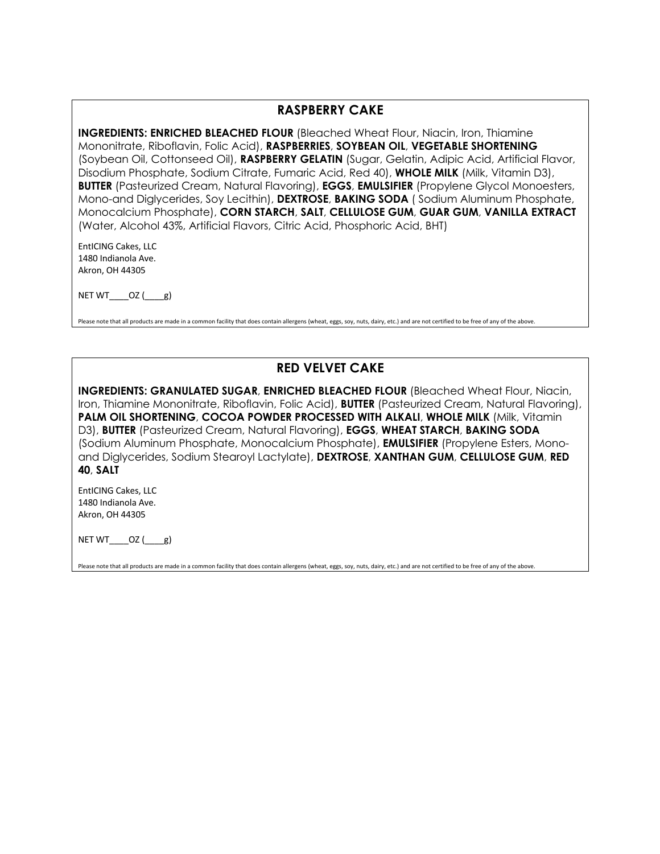#### **RASPBERRY CAKE**

**INGREDIENTS: ENRICHED BLEACHED FLOUR** (Bleached Wheat Flour, Niacin, Iron, Thiamine Mononitrate, Riboflavin, Folic Acid), **RASPBERRIES**, **SOYBEAN OIL**, **VEGETABLE SHORTENING** (Soybean Oil, Cottonseed Oil), **RASPBERRY GELATIN** (Sugar, Gelatin, Adipic Acid, Artificial Flavor, Disodium Phosphate, Sodium Citrate, Fumaric Acid, Red 40), **WHOLE MILK** (Milk, Vitamin D3), **BUTTER** (Pasteurized Cream, Natural Flavoring), **EGGS**, **EMULSIFIER** (Propylene Glycol Monoesters, Mono-and Diglycerides, Soy Lecithin), **DEXTROSE**, **BAKING SODA** ( Sodium Aluminum Phosphate, Monocalcium Phosphate), **CORN STARCH**, **SALT**, **CELLULOSE GUM**, **GUAR GUM**, **VANILLA EXTRACT** (Water, Alcohol 43%, Artificial Flavors, Citric Acid, Phosphoric Acid, BHT)

EntICING Cakes, LLC 1480 Indianola Ave. Akron, OH 44305

NET WT $OZ$  ( $g$ )

Please note that all products are made in a common facility that does contain allergens (wheat, eggs, soy, nuts, dairy, etc.) and are not certified to be free of any of the above.

### **RED VELVET CAKE**

**INGREDIENTS: GRANULATED SUGAR**, **ENRICHED BLEACHED FLOUR** (Bleached Wheat Flour, Niacin, Iron, Thiamine Mononitrate, Riboflavin, Folic Acid), **BUTTER** (Pasteurized Cream, Natural Flavoring), **PALM OIL SHORTENING**, **COCOA POWDER PROCESSED WITH ALKALI**, **WHOLE MILK** (Milk, Vitamin D3), **BUTTER** (Pasteurized Cream, Natural Flavoring), **EGGS**, **WHEAT STARCH**, **BAKING SODA** (Sodium Aluminum Phosphate, Monocalcium Phosphate), **EMULSIFIER** (Propylene Esters, Monoand Diglycerides, Sodium Stearoyl Lactylate), **DEXTROSE**, **XANTHAN GUM**, **CELLULOSE GUM**, **RED 40**, **SALT**

EntICING Cakes, LLC 1480 Indianola Ave. Akron, OH 44305

NET WT $OZ$  ( $g$ )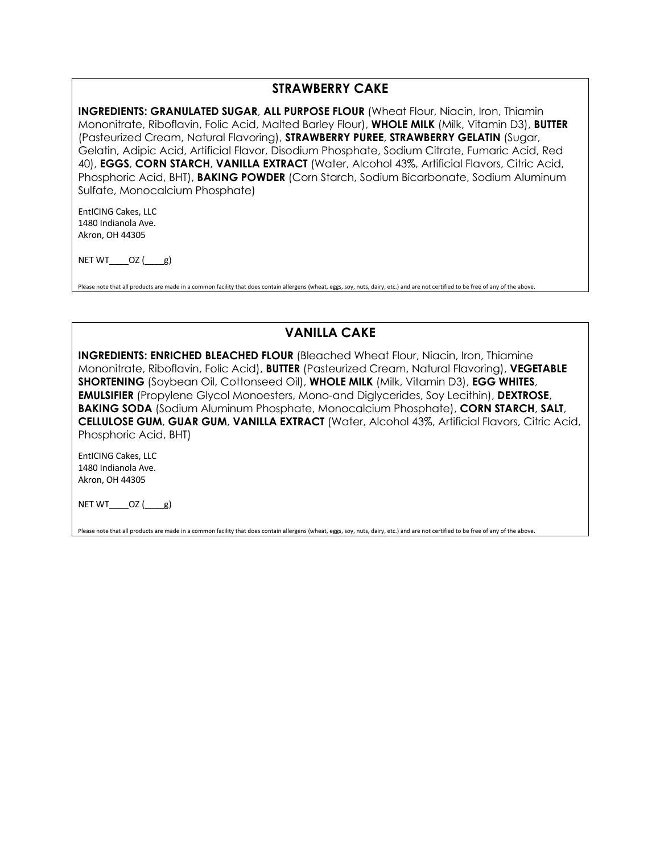### **STRAWBERRY CAKE**

**INGREDIENTS: GRANULATED SUGAR**, **ALL PURPOSE FLOUR** (Wheat Flour, Niacin, Iron, Thiamin Mononitrate, Riboflavin, Folic Acid, Malted Barley Flour), **WHOLE MILK** (Milk, Vitamin D3), **BUTTER** (Pasteurized Cream, Natural Flavoring), **STRAWBERRY PUREE**, **STRAWBERRY GELATIN** (Sugar, Gelatin, Adipic Acid, Artificial Flavor, Disodium Phosphate, Sodium Citrate, Fumaric Acid, Red 40), **EGGS**, **CORN STARCH**, **VANILLA EXTRACT** (Water, Alcohol 43%, Artificial Flavors, Citric Acid, Phosphoric Acid, BHT), **BAKING POWDER** (Corn Starch, Sodium Bicarbonate, Sodium Aluminum Sulfate, Monocalcium Phosphate)

EntICING Cakes, LLC 1480 Indianola Ave. Akron, OH 44305

 $NETWT$ \_\_\_\_OZ $(\underline{\qquad}g)$ 

Please note that all products are made in a common facility that does contain allergens (wheat, eggs, soy, nuts, dairy, etc.) and are not certified to be free of any of the above.

### **VANILLA CAKE**

**INGREDIENTS: ENRICHED BLEACHED FLOUR** (Bleached Wheat Flour, Niacin, Iron, Thiamine Mononitrate, Riboflavin, Folic Acid), **BUTTER** (Pasteurized Cream, Natural Flavoring), **VEGETABLE SHORTENING** (Soybean Oil, Cottonseed Oil), **WHOLE MILK** (Milk, Vitamin D3), **EGG WHITES**, **EMULSIFIER** (Propylene Glycol Monoesters, Mono-and Diglycerides, Soy Lecithin), **DEXTROSE**, **BAKING SODA** (Sodium Aluminum Phosphate, Monocalcium Phosphate), **CORN STARCH**, **SALT**, **CELLULOSE GUM**, **GUAR GUM**, **VANILLA EXTRACT** (Water, Alcohol 43%, Artificial Flavors, Citric Acid, Phosphoric Acid, BHT)

EntICING Cakes, LLC 1480 Indianola Ave. Akron, OH 44305

NET  $WT$   $OZ$  ( $g$ )